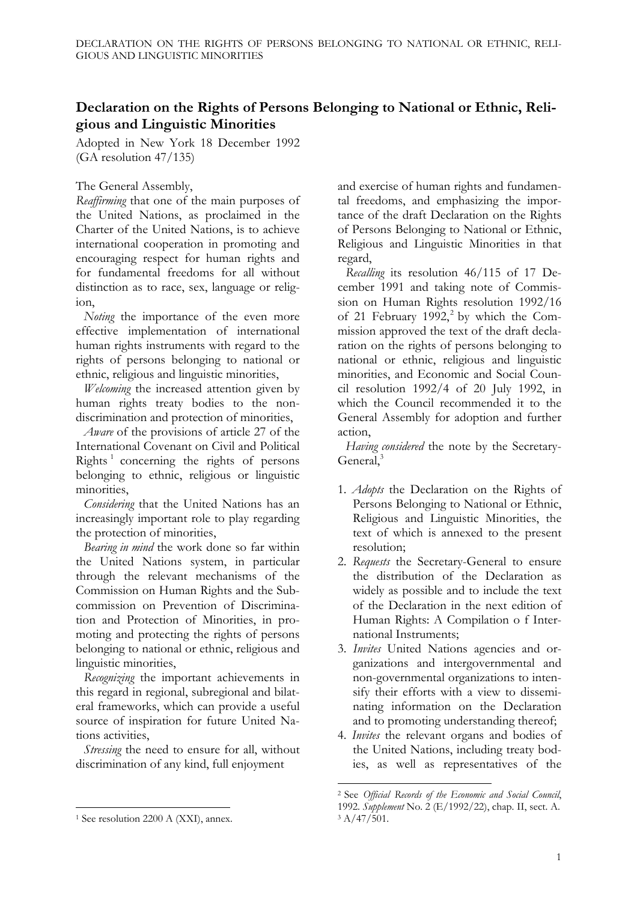# **Declaration on the Rights of Persons Belonging to National or Ethnic, Religious and Linguistic Minorities**

Adopted in New York 18 December 1992 (GA resolution 47/135)

The General Assembly,

*Reaffirming* that one of the main purposes of the United Nations, as proclaimed in the Charter of the United Nations, is to achieve international cooperation in promoting and encouraging respect for human rights and for fundamental freedoms for all without distinction as to race, sex, language or religion,

*Noting* the importance of the even more effective implementation of international human rights instruments with regard to the rights of persons belonging to national or ethnic, religious and linguistic minorities,

*Welcoming* the increased attention given by human rights treaty bodies to the nondiscrimination and protection of minorities,

*Aware* of the provisions of article 27 of the International Covenant on Civil and Political Rights<sup> $1$ </sup> concerning the rights of persons belonging to ethnic, religious or linguistic minorities,

*Considering* that the United Nations has an increasingly important role to play regarding the protection of minorities,

*Bearing in mind* the work done so far within the United Nations system, in particular through the relevant mechanisms of the Commission on Human Rights and the Subcommission on Prevention of Discrimination and Protection of Minorities, in promoting and protecting the rights of persons belonging to national or ethnic, religious and linguistic minorities,

*Recognizing* the important achievements in this regard in regional, subregional and bilateral frameworks, which can provide a useful source of inspiration for future United Nations activities,

*Stressing* the need to ensure for all, without discrimination of any kind, full enjoyment

-

and exercise of human rights and fundamental freedoms, and emphasizing the importance of the draft Declaration on the Rights of Persons Belonging to National or Ethnic, Religious and Linguistic Minorities in that regard,

*Recalling* its resolution 46/115 of 17 December 1991 and taking note of Commission on Human Rights resolution 1992/16 of 21 February 1992, $^2$  by which the Commission approved the text of the draft declaration on the rights of persons belonging to national or ethnic, religious and linguistic minorities, and Economic and Social Council resolution 1992/4 of 20 July 1992, in which the Council recommended it to the General Assembly for adoption and further action,

*Having considered* the note by the Secretary-General,<sup>3</sup>

- 1. *Adopts* the Declaration on the Rights of Persons Belonging to National or Ethnic, Religious and Linguistic Minorities, the text of which is annexed to the present resolution;
- 2. *Requests* the Secretary-General to ensure the distribution of the Declaration as widely as possible and to include the text of the Declaration in the next edition of Human Rights: A Compilation o f International Instruments;
- 3. *Invites* United Nations agencies and organizations and intergovernmental and non-governmental organizations to intensify their efforts with a view to disseminating information on the Declaration and to promoting understanding thereof;
- 4. *Invites* the relevant organs and bodies of the United Nations, including treaty bodies, as well as representatives of the

 $\overline{a}$ 

<sup>&</sup>lt;sup>1</sup> See resolution 2200 A (XXI), annex.

<sup>2</sup> See *Official Records of the Economic and Social Council*, 1992. *Supplement* No. 2 (E/1992/22), chap. II, sect. A. 3 A/47/501.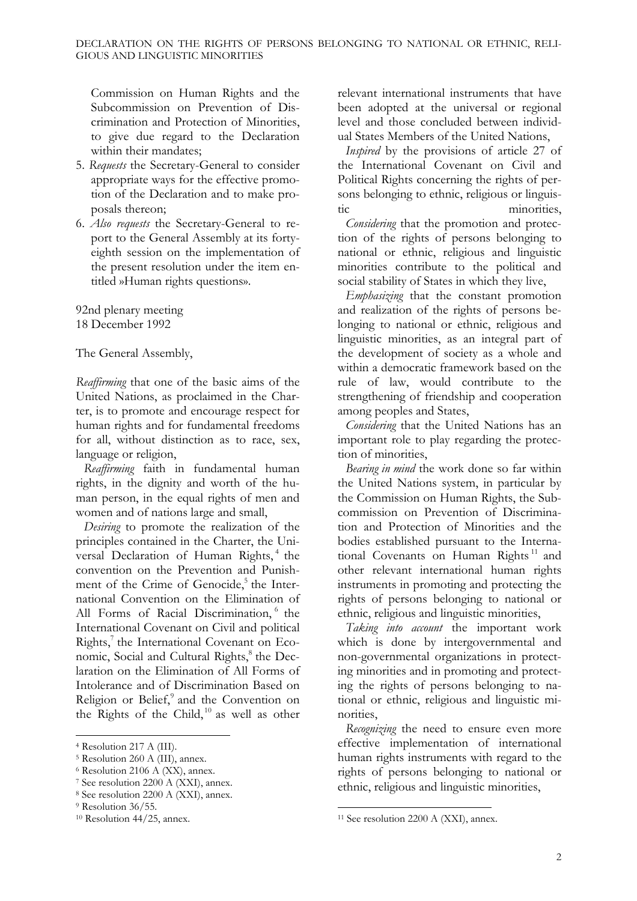Commission on Human Rights and the Subcommission on Prevention of Discrimination and Protection of Minorities, to give due regard to the Declaration within their mandates;

- 5. *Requests* the Secretary-General to consider appropriate ways for the effective promotion of the Declaration and to make proposals thereon;
- 6. *Also requests* the Secretary-General to report to the General Assembly at its fortyeighth session on the implementation of the present resolution under the item entitled »Human rights questions».

92nd plenary meeting 18 December 1992

The General Assembly,

*Reaffirming* that one of the basic aims of the United Nations, as proclaimed in the Charter, is to promote and encourage respect for human rights and for fundamental freedoms for all, without distinction as to race, sex, language or religion,

*Reaffirming* faith in fundamental human rights, in the dignity and worth of the human person, in the equal rights of men and women and of nations large and small,

 *Desiring* to promote the realization of the principles contained in the Charter, the Universal Declaration of Human Rights,<sup>4</sup> the convention on the Prevention and Punishment of the Crime of Genocide,<sup>5</sup> the International Convention on the Elimination of All Forms of Racial Discrimination, <sup>6</sup> the International Covenant on Civil and political Rights,<sup>7</sup> the International Covenant on Economic, Social and Cultural Rights,<sup>8</sup> the Declaration on the Elimination of All Forms of Intolerance and of Discrimination Based on Religion or Belief,<sup>9</sup> and the Convention on the Rights of the Child,<sup>10</sup> as well as other

-

relevant international instruments that have been adopted at the universal or regional level and those concluded between individual States Members of the United Nations,

*Inspired* by the provisions of article 27 of the International Covenant on Civil and Political Rights concerning the rights of persons belonging to ethnic, religious or linguistic minorities,

*Considering* that the promotion and protection of the rights of persons belonging to national or ethnic, religious and linguistic minorities contribute to the political and social stability of States in which they live,

*Emphasizing* that the constant promotion and realization of the rights of persons belonging to national or ethnic, religious and linguistic minorities, as an integral part of the development of society as a whole and within a democratic framework based on the rule of law, would contribute to the strengthening of friendship and cooperation among peoples and States,

*Considering* that the United Nations has an important role to play regarding the protection of minorities,

*Bearing in mind* the work done so far within the United Nations system, in particular by the Commission on Human Rights, the Subcommission on Prevention of Discrimination and Protection of Minorities and the bodies established pursuant to the International Covenants on Human Rights<sup>11</sup> and other relevant international human rights instruments in promoting and protecting the rights of persons belonging to national or ethnic, religious and linguistic minorities,

*Taking into account* the important work which is done by intergovernmental and non-governmental organizations in protecting minorities and in promoting and protecting the rights of persons belonging to national or ethnic, religious and linguistic minorities,

*Recognizing* the need to ensure even more effective implementation of international human rights instruments with regard to the rights of persons belonging to national or ethnic, religious and linguistic minorities,

 $\overline{a}$ 

<sup>4</sup> Resolution 217 A (III).

<sup>5</sup> Resolution 260 A (III), annex.

<sup>6</sup> Resolution 2106 A (XX), annex.

<sup>7</sup> See resolution 2200 A (XXI), annex.

<sup>8</sup> See resolution 2200 A (XXI), annex.

<sup>&</sup>lt;sup>9</sup> Resolution 36/55.

<sup>10</sup> Resolution 44/25, annex.

<sup>&</sup>lt;sup>11</sup> See resolution 2200 A (XXI), annex.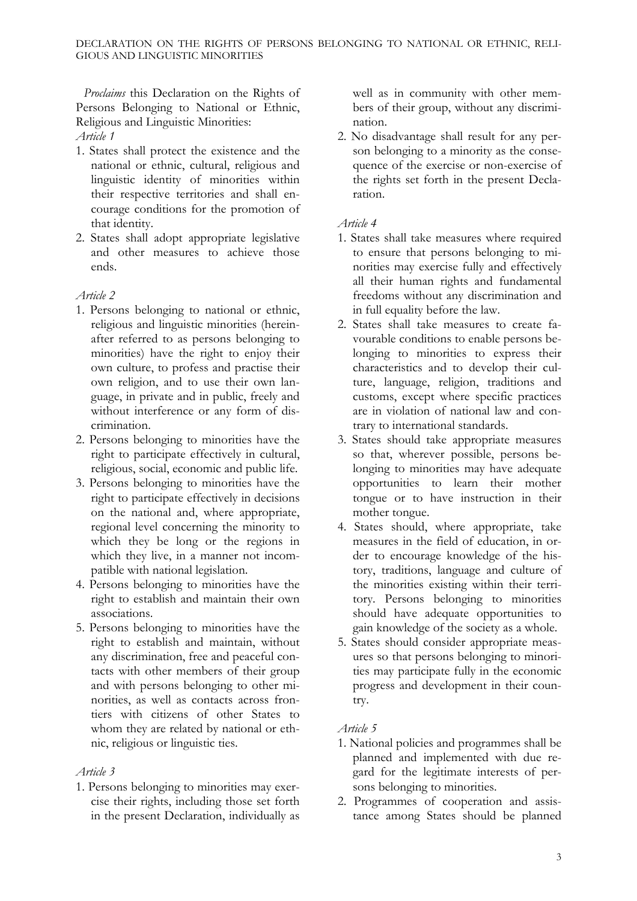*Proclaims* this Declaration on the Rights of Persons Belonging to National or Ethnic, Religious and Linguistic Minorities: *Article 1* 

- 1. States shall protect the existence and the national or ethnic, cultural, religious and linguistic identity of minorities within their respective territories and shall encourage conditions for the promotion of that identity.
- 2. States shall adopt appropriate legislative and other measures to achieve those ends.

### *Article 2*

- 1. Persons belonging to national or ethnic, religious and linguistic minorities (hereinafter referred to as persons belonging to minorities) have the right to enjoy their own culture, to profess and practise their own religion, and to use their own language, in private and in public, freely and without interference or any form of discrimination.
- 2. Persons belonging to minorities have the right to participate effectively in cultural, religious, social, economic and public life.
- 3. Persons belonging to minorities have the right to participate effectively in decisions on the national and, where appropriate, regional level concerning the minority to which they be long or the regions in which they live, in a manner not incompatible with national legislation.
- 4. Persons belonging to minorities have the right to establish and maintain their own associations.
- 5. Persons belonging to minorities have the right to establish and maintain, without any discrimination, free and peaceful contacts with other members of their group and with persons belonging to other minorities, as well as contacts across frontiers with citizens of other States to whom they are related by national or ethnic, religious or linguistic ties.

#### *Article 3*

1. Persons belonging to minorities may exercise their rights, including those set forth in the present Declaration, individually as well as in community with other members of their group, without any discrimination.

2. No disadvantage shall result for any person belonging to a minority as the consequence of the exercise or non-exercise of the rights set forth in the present Declaration.

# *Article 4*

- 1. States shall take measures where required to ensure that persons belonging to minorities may exercise fully and effectively all their human rights and fundamental freedoms without any discrimination and in full equality before the law.
- 2. States shall take measures to create favourable conditions to enable persons belonging to minorities to express their characteristics and to develop their culture, language, religion, traditions and customs, except where specific practices are in violation of national law and contrary to international standards.
- 3. States should take appropriate measures so that, wherever possible, persons belonging to minorities may have adequate opportunities to learn their mother tongue or to have instruction in their mother tongue.
- 4. States should, where appropriate, take measures in the field of education, in order to encourage knowledge of the history, traditions, language and culture of the minorities existing within their territory. Persons belonging to minorities should have adequate opportunities to gain knowledge of the society as a whole.
- 5. States should consider appropriate measures so that persons belonging to minorities may participate fully in the economic progress and development in their country.

# *Article 5*

- 1. National policies and programmes shall be planned and implemented with due regard for the legitimate interests of persons belonging to minorities.
- 2. Programmes of cooperation and assistance among States should be planned